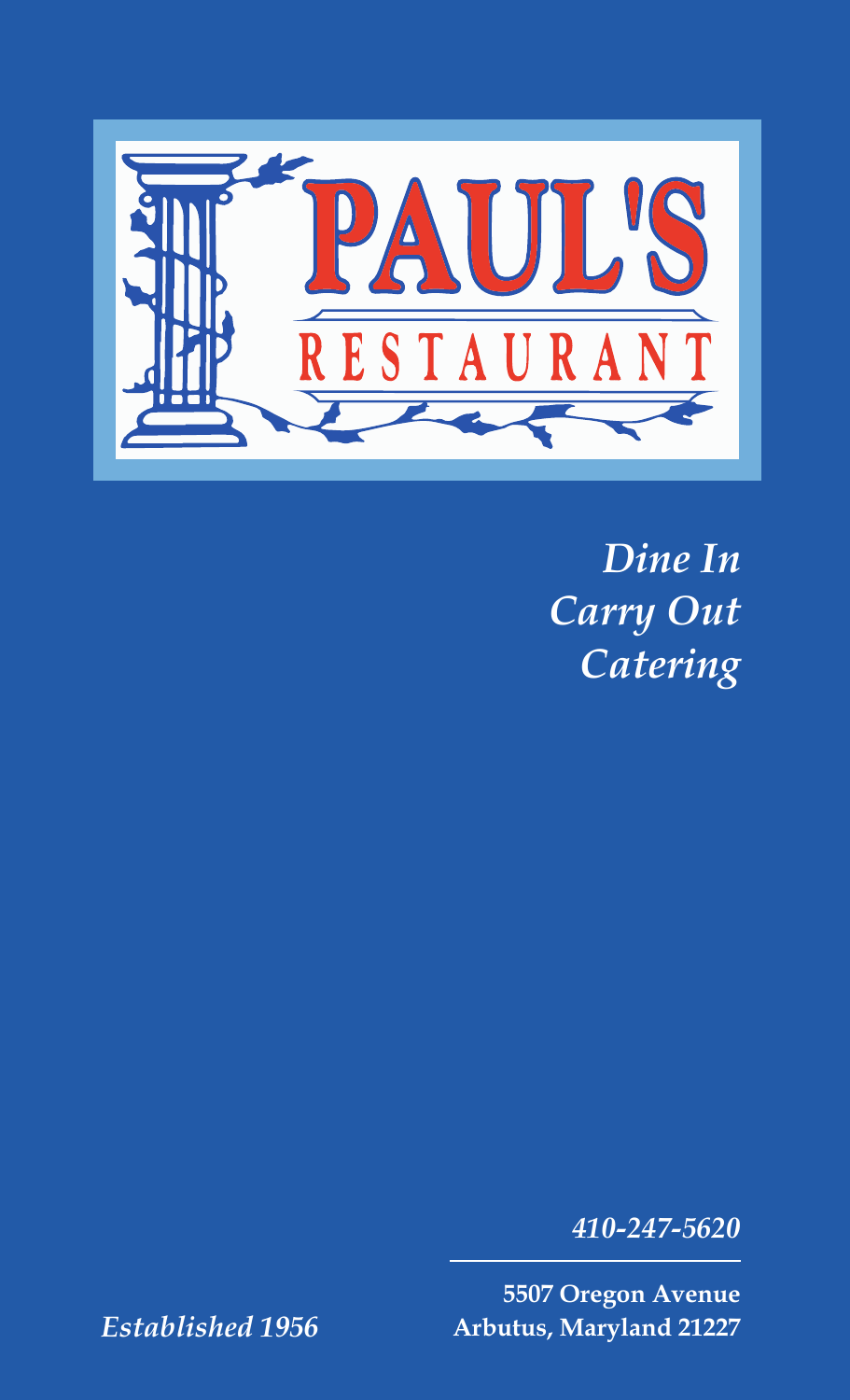

*Dine In Carry Out Catering*

*410-247-5620*

**5507 Oregon Avenue Arbutus, Maryland 21227**

*Established 1956*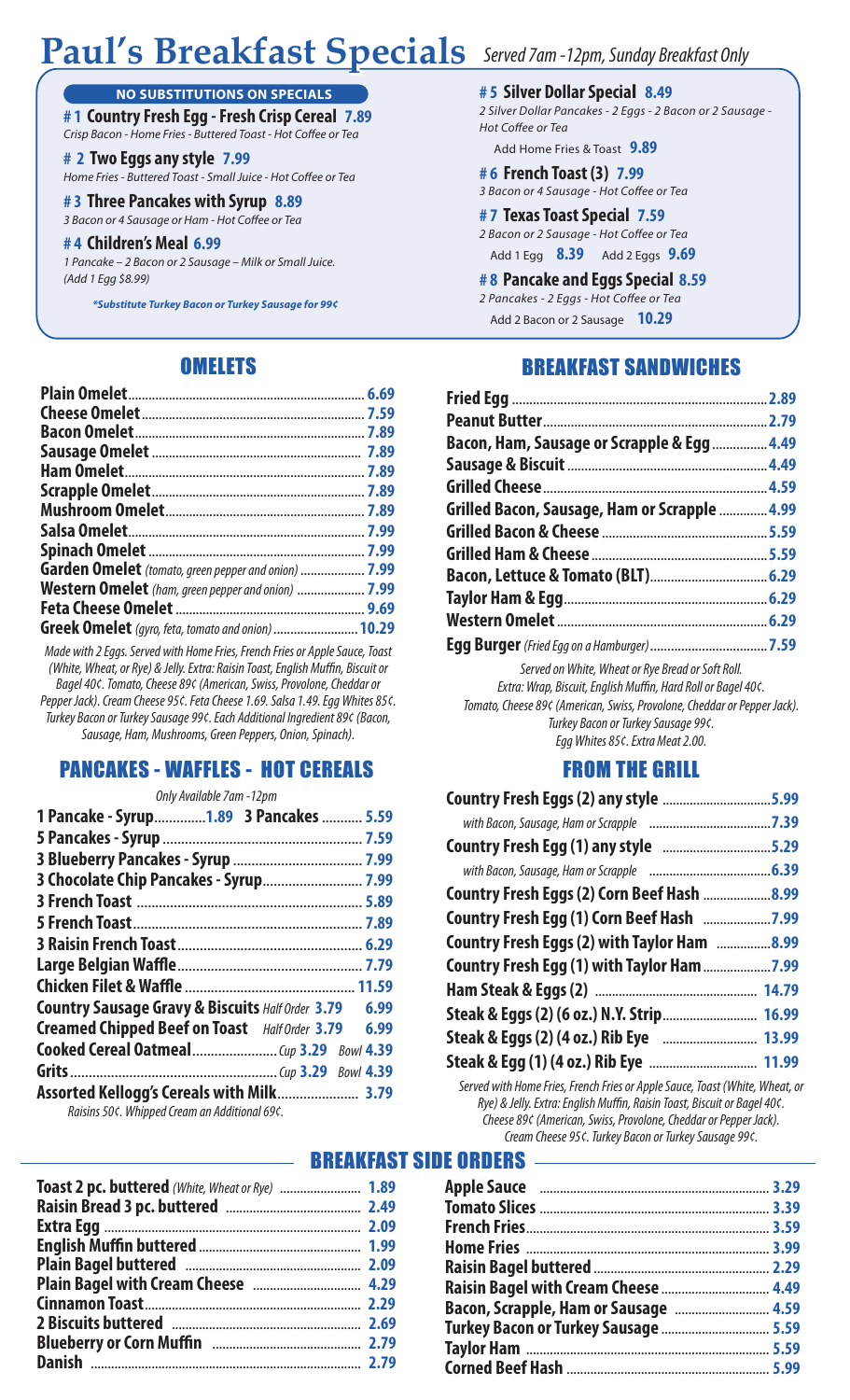# **Paul's Breakfast Specials** Served 7am -12pm, Sunday Breakfast Only

#### **NO SUBSTITUTIONS ON SPECIALS**

**# 1 Country Fresh Egg - Fresh Crisp Cereal 7.89** Crisp Bacon - Home Fries - Buttered Toast - Hot Coffee or Tea

**# 2 Two Eggs any style 7.99** Home Fries - Buttered Toast - Small Juice - Hot Coffee or Tea

### **# 3 Three Pancakes with Syrup 8.89**

*3 Bacon or 4 Sausage or Ham - Hot Coffee or Tea* 

#### **# 4 Children's Meal 6.99**

*1 Pancake – 2 Bacon or 2 Sausage – Milk or Small Juice. (Add 1 Egg \$8.99)*

*\*Substitute Turkey Bacon or Turkey Sausage for 99¢*

#### **OMELETS**

| <b>Garden Omelet</b> (tomato, green pepper and onion)  7.99 |  |
|-------------------------------------------------------------|--|
| <b>Western Omelet</b> (ham, green pepper and onion)  7.99   |  |
|                                                             |  |
| Greek Omelet (gyro, feta, tomato and onion)  10.29          |  |

*Made with 2 Eggs. Served with Home Fries, French Fries or Apple Sauce, Toast (White, Wheat, or Rye) & Jelly. Extra: Raisin Toast, English Muffin, Biscuit or Bagel 40¢. Tomato, Cheese 89¢ (American, Swiss, Provolone, Cheddar or* 

*Pepper Jack). Cream Cheese 95¢. Feta Cheese 1.69. Salsa 1.49. Egg Whites 85¢. Turkey Bacon or Turkey Sausage 99¢. Each Additional Ingredient 89¢ (Bacon, Sausage, Ham, Mushrooms, Green Peppers, Onion, Spinach).*

#### PANCAKES - WAFFLES - HOT CEREALS

| Only Available 7am -12pm                                         |  |
|------------------------------------------------------------------|--|
| 1 Pancake - Syrup1.89 3 Pancakes  5.59                           |  |
|                                                                  |  |
|                                                                  |  |
|                                                                  |  |
|                                                                  |  |
|                                                                  |  |
|                                                                  |  |
|                                                                  |  |
|                                                                  |  |
| <b>Country Sausage Gravy &amp; Biscuits Half Order 3.79 6.99</b> |  |
| Creamed Chipped Beef on Toast Half Order 3.79 6.99               |  |
|                                                                  |  |
|                                                                  |  |
| Raisins 50¢. Whipped Cream an Additional 69¢.                    |  |

| Toast 2 pc. buttered (White, Wheat or Rye)  1.89 |  |
|--------------------------------------------------|--|
|                                                  |  |
|                                                  |  |
|                                                  |  |
|                                                  |  |
|                                                  |  |
|                                                  |  |
|                                                  |  |
|                                                  |  |
|                                                  |  |
|                                                  |  |

#### **# 5 Silver Dollar Special 8.49**

*2 Silver Dollar Pancakes - 2 Eggs - 2 Bacon or 2 Sausage -*  **Hot Coffee or Tea** 

Add Home Fries & Toast **9.89**

#### **# 6 French Toast (3) 7.99**

3 Bacon or 4 Sausage - Hot Coffee or Tea

- **# 7 Texas Toast Special 7.59** 2 Bacon or 2 Sausage - Hot Coffee or Tea Add 1 Egg **8.39** Add 2 Eggs **9.69**
- **# 8 Pancake and Eggs Special 8.59**
- 2 Pancakes 2 Eggs Hot Coffee or Tea Add 2 Bacon or 2 Sausage **10.29**

### BREAKFAST SANDWICHES

| Bacon, Ham, Sausage or Scrapple & Egg  4.49       |  |
|---------------------------------------------------|--|
|                                                   |  |
|                                                   |  |
| Grilled Bacon, Sausage, Ham or Scrapple 4.99      |  |
|                                                   |  |
|                                                   |  |
|                                                   |  |
|                                                   |  |
|                                                   |  |
|                                                   |  |
| Served on White, Wheat or Rye Bread or Soft Roll. |  |

*Extra: Wrap, Biscuit, English Muffin, Hard Roll or Bagel 40¢. Tomato, Cheese 89¢ (American, Swiss, Provolone, Cheddar or Pepper Jack). Turkey Bacon or Turkey Sausage 99¢. Egg Whites 85¢. Extra Meat 2.00.*

#### FROM THE GRILL

| Country Fresh Eggs (2) any style 5.99       |  |
|---------------------------------------------|--|
|                                             |  |
| Country Fresh Egg (1) any style 5.29        |  |
|                                             |  |
| Country Fresh Eggs (2) Corn Beef Hash 8.99  |  |
|                                             |  |
| Country Fresh Eggs (2) with Taylor Ham 8.99 |  |
|                                             |  |
|                                             |  |
|                                             |  |
|                                             |  |
|                                             |  |

*Served with Home Fries, French Fries or Apple Sauce, Toast (White, Wheat, or Rye) & Jelly. Extra: English Muffin, Raisin Toast, Biscuit or Bagel 40¢. Cheese 89¢ (American, Swiss, Provolone, Cheddar or Pepper Jack). Cream Cheese 95¢. Turkey Bacon or Turkey Sausage 99¢.*

BREAKFAST SIDE ORDERS

| Turkey Bacon or Turkey Sausage  5.59 |  |
|--------------------------------------|--|
|                                      |  |
|                                      |  |
|                                      |  |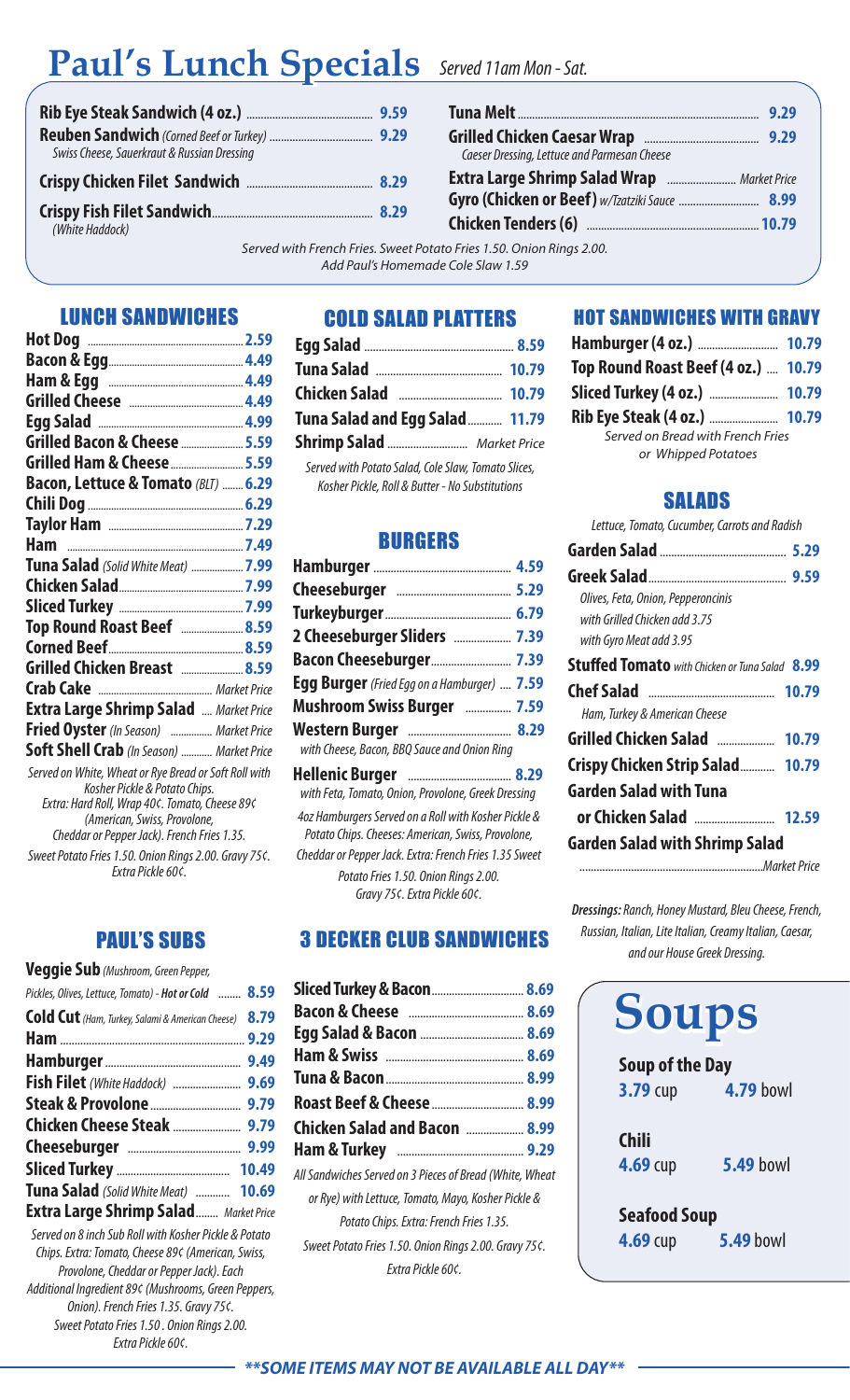# **Paul's Lunch Specials Paul's Lunch Specials** *Served 11am Mon - Sat.*

| Swiss Cheese, Sauerkraut & Russian Dressing |  |
|---------------------------------------------|--|
|                                             |  |
|                                             |  |

| Caeser Dressing, Lettuce and Parmesan Cheese |  |
|----------------------------------------------|--|
|                                              |  |
|                                              |  |
|                                              |  |

*Served with French Fries. Sweet Potato Fries 1.50. Onion Rings 2.00. Add Paul's Homemade Cole Slaw 1.59*

#### LUNCH SANDWICHES

| Grilled Bacon & Cheese  5.59                                                    |  |
|---------------------------------------------------------------------------------|--|
| Grilled Ham & Cheese  5.59                                                      |  |
| Bacon, Lettuce & Tomato (BLT)  6.29                                             |  |
|                                                                                 |  |
|                                                                                 |  |
|                                                                                 |  |
| Tuna Salad (Solid White Meat)  7.99                                             |  |
|                                                                                 |  |
|                                                                                 |  |
| Top Round Roast Beef  8.59                                                      |  |
|                                                                                 |  |
| Grilled Chicken Breast  8.59                                                    |  |
|                                                                                 |  |
| <b>Extra Large Shrimp Salad  Market Price</b>                                   |  |
| Fried Oyster (In Season)  Market Price                                          |  |
| Soft Shell Crab (In Season)  Market Price                                       |  |
| Served on White, Wheat or Rye Bread or Soft Roll with                           |  |
| Kosher Pickle & Potato Chips.<br>Extra: Hard Roll, Wrap 40¢. Tomato, Cheese 89¢ |  |
| (American, Swiss, Provolone,                                                    |  |
| Cheddar or Pepper Jack). French Fries 1.35.                                     |  |
| Sweet Potato Fries 1.50. Onion Rings 2.00. Gravy 75¢.<br>Extra Pickle 60¢.      |  |

PAUL'S SUBS

| Veggie Sub (Mushroom, Green Pepper,                   |      |
|-------------------------------------------------------|------|
| Pickles, Olives, Lettuce, Tomato) - Hot or Cold  8.59 |      |
| Cold Cut (Ham, Turkey, Salami & American Cheese)      | 8.79 |
|                                                       |      |
|                                                       |      |
|                                                       |      |
|                                                       |      |
|                                                       |      |
|                                                       |      |
|                                                       |      |
| Tuna Salad (Solid White Meat)  10.69                  |      |
| <b>Extra Large Shrimp Salad</b> Market Price          |      |

*Served on 8 inch Sub Roll with Kosher Pickle & Potato Chips. Extra: Tomato, Cheese 89¢ (American, Swiss, Provolone, Cheddar or Pepper Jack). Each Additional Ingredient 89¢ (Mushrooms, Green Peppers, Onion). French Fries 1.35. Gravy 75¢. Sweet Potato Fries 1.50 . Onion Rings 2.00. Extra Pickle 60¢.*

#### COLD SALAD PLATTERS

| Tuna Salad and Egg Salad  11.79                                                                                                                                                                                                                                                           |  |
|-------------------------------------------------------------------------------------------------------------------------------------------------------------------------------------------------------------------------------------------------------------------------------------------|--|
| Shrimp Salad  Market Price                                                                                                                                                                                                                                                                |  |
| Served with Potato Salad, Cole Slaw, Tomato Slices,<br>$\mathcal{U}$ is a summer to the contract of the contract of the contract of the contract of the contract of the contract of the contract of the contract of the contract of the contract of the contract of the contract of the c |  |

*Kosher Pickle, Roll & Butter - No Substitutions*

#### BURGERS

| 2 Cheeseburger Sliders  7.39                                                                                                                                         |  |
|----------------------------------------------------------------------------------------------------------------------------------------------------------------------|--|
| Bacon Cheeseburger 7.39                                                                                                                                              |  |
| Egg Burger (Fried Egg on a Hamburger)  7.59                                                                                                                          |  |
| Mushroom Swiss Burger  7.59                                                                                                                                          |  |
| with Cheese, Bacon, BBQ Sauce and Onion Ring                                                                                                                         |  |
| with Feta, Tomato, Onion, Provolone, Greek Dressing                                                                                                                  |  |
| 4oz Hamburgers Served on a Roll with Kosher Pickle &<br>Potato Chips. Cheeses: American, Swiss, Provolone,<br>Cheddar or Pepper Jack. Extra: French Fries 1.35 Sweet |  |
| Potato Fries 1.50. Onion Rings 2.00.                                                                                                                                 |  |

*Gravy 75¢. Extra Pickle 60¢.*

3 DECKER CLUB SANDWICHES

| Sliced Turkey & Bacon  8.69                              |  |
|----------------------------------------------------------|--|
|                                                          |  |
|                                                          |  |
|                                                          |  |
|                                                          |  |
|                                                          |  |
| Chicken Salad and Bacon   8.99                           |  |
|                                                          |  |
| All Sandwiches Served on 3 Pieces of Bread (White, Wheat |  |
| or Rye) with Lettuce, Tomato, Mayo, Kosher Pickle &      |  |
| Potato Chips. Extra: French Fries 1.35.                  |  |
| Sweet Potato Fries 1.50. Onion Rings 2.00. Gravy 75¢.    |  |
| Fxtra Pickle 60¢.                                        |  |
|                                                          |  |

#### HOT SANDWICHES WITH GRAVY

| Top Round Roast Beef (4 oz.)  10.79 |  |
|-------------------------------------|--|
|                                     |  |
|                                     |  |
| Served on Bread with French Fries   |  |
| or Whipped Potatoes                 |  |
|                                     |  |

#### SALADS

|  | Lettuce, Tomato, Cucumber, Carrots and Radish |  |  |
|--|-----------------------------------------------|--|--|
|--|-----------------------------------------------|--|--|

| Olives, Feta, Onion, Pepperoncinis                    |  |
|-------------------------------------------------------|--|
| with Grilled Chicken add 3.75                         |  |
| with Gyro Meat add 3.95                               |  |
| <b>Stuffed Tomato</b> with Chicken or Tuna Salad 8.99 |  |
|                                                       |  |
| Ham, Turkey & American Cheese                         |  |
| Grilled Chicken Salad  10.79                          |  |
| Crispy Chicken Strip Salad 10.79                      |  |
| Garden Salad with Tuna                                |  |
|                                                       |  |
| <b>Garden Salad with Shrimp Salad</b>                 |  |
|                                                       |  |

*Dressings: Ranch, Honey Mustard, Bleu Cheese, French, Russian, Italian, Lite Italian, Creamy Italian, Caesar, and our House Greek Dressing.*

| <b>Soups</b>           |                  |
|------------------------|------------------|
| <b>Soup of the Day</b> |                  |
| $3.79$ cup             | <b>4.79 bowl</b> |
| <b>Chili</b>           |                  |
| $4.69$ cup             | <b>5.49 bowl</b> |
| <b>Seafood Soup</b>    |                  |
| $4.69$ cup             | <b>5.49 bowl</b> |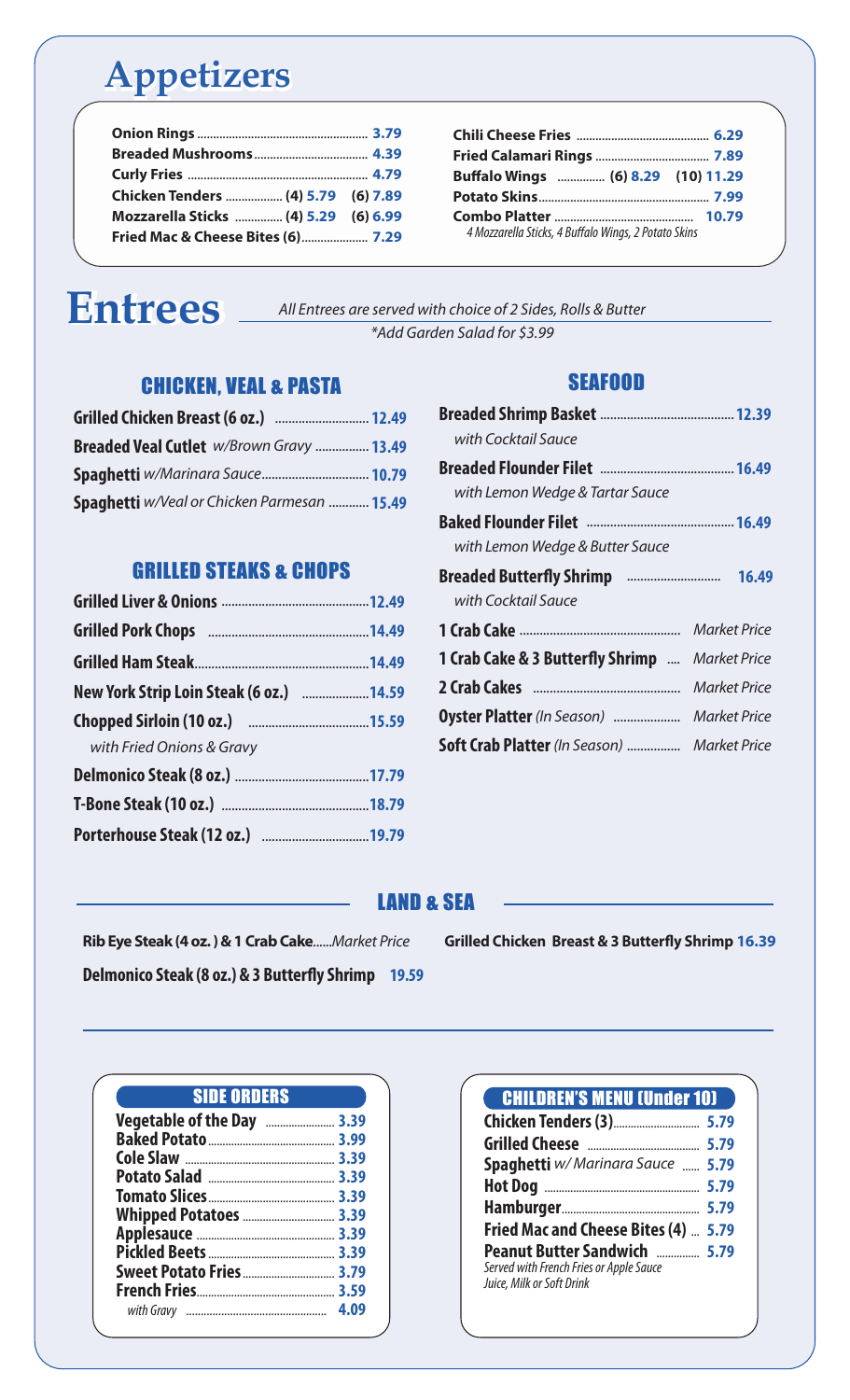# **Appetizers Appetizers**

| Chicken Tenders  (4) 5.79 (6) 7.89   |  |
|--------------------------------------|--|
| Mozzarella Sticks  (4) 5.29 (6) 6.99 |  |
|                                      |  |

# **Entrees Entrees**

*All Entrees are served with choice of 2 Sides, Rolls & Butter \*Add Garden Salad for \$3.99*

### CHICKEN, VEAL & PASTA

| <b>Breaded Veal Cutlet</b> <i>w/Brown Gravy </i> 13.49 |  |
|--------------------------------------------------------|--|
| Spaghetti w/Marinara Sauce 10.79                       |  |
| <b>Spaghetti</b> w/Veal or Chicken Parmesan  15.49     |  |

### GRILLED STEAKS & CHOPS

| New York Strip Loin Steak (6 oz.) 14.59 |
|-----------------------------------------|
|                                         |
|                                         |
|                                         |
|                                         |
|                                         |
|                                         |

## SEAFOOD **Breaded Shrimp Basket** ........................................ **12.39** *with Cocktail Sauce* **Breaded Flounder Filet** ........................................ **16.49** *with Lemon Wedge & Tartar Sauce* **Baked Flounder Filet** ............................................ **16.49** *with Lemon Wedge & Butter Sauce* **Breaded Buttery Shrimp** ............................ **16.49** *with Cocktail Sauce* **1 Crab Cake** ................................................ *Market Price* 1 Crab Cake & 3 Butterfly Shrimp .... Market Price **2 Crab Cakes** ............................................ *Market Price* **Oyster Platter** *(In Season)* .................... *Market Price* **Soft Crab Platter** *(In Season)* ................ *Market Price*

**Chili Cheese Fries** .......................................... **6.29 Fried Calamari Rings** .................................... **7.89 Bualo Wings** ............... **(6) 8.29 (10) 11.29 Potato Skins**...................................................... **7.99 Combo Platter** ............................................ **10.79**  *4 Mozzarella Sticks, 4 Bualo Wings, 2 Potato Skins*

### LAND & SEA

**Rib Eye Steak (4 oz. ) & 1 Crab Cake**......*Market Price*

**Delmonico Steak (8 oz.) & 3 Butterfly Shrimp** 19.59

**Grilled Chicken Breast & 3 Butterfly Shrimp 16.39** 

| <b>SIDE ORDERS</b>         |      |
|----------------------------|------|
| Vegetable of the Day  3.39 |      |
|                            |      |
|                            |      |
|                            |      |
|                            |      |
| Whipped Potatoes  3.39     |      |
|                            |      |
|                            |      |
| Sweet Potato Fries  3.79   |      |
|                            |      |
|                            | 4.09 |

| <b>CHILDREN'S MENU (Under 10)</b>                                                                           |  |
|-------------------------------------------------------------------------------------------------------------|--|
|                                                                                                             |  |
|                                                                                                             |  |
| Spaghetti w/ Marinara Sauce  5.79                                                                           |  |
|                                                                                                             |  |
|                                                                                                             |  |
| Fried Mac and Cheese Bites (4)  5.79                                                                        |  |
| <b>Peanut Butter Sandwich  5.79</b><br>Served with French Fries or Apple Sauce<br>Juice, Milk or Soft Drink |  |